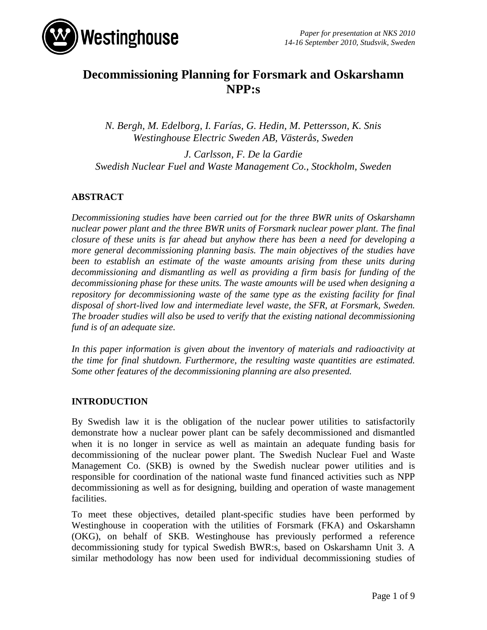

# **Decommissioning Planning for Forsmark and Oskarshamn NPP:s**

*N. Bergh, M. Edelborg, I. Farías, G. Hedin, M. Pettersson, K. Snis Westinghouse Electric Sweden AB, Västerås, Sweden*

*J. Carlsson, F. De la Gardie Swedish Nuclear Fuel and Waste Management Co., Stockholm, Sweden*

# **ABSTRACT**

*Decommissioning studies have been carried out for the three BWR units of Oskarshamn nuclear power plant and the three BWR units of Forsmark nuclear power plant. The final closure of these units is far ahead but anyhow there has been a need for developing a more general decommissioning planning basis. The main objectives of the studies have been to establish an estimate of the waste amounts arising from these units during decommissioning and dismantling as well as providing a firm basis for funding of the decommissioning phase for these units. The waste amounts will be used when designing a repository for decommissioning waste of the same type as the existing facility for final disposal of short-lived low and intermediate level waste, the SFR, at Forsmark, Sweden. The broader studies will also be used to verify that the existing national decommissioning fund is of an adequate size.*

*In this paper information is given about the inventory of materials and radioactivity at the time for final shutdown. Furthermore, the resulting waste quantities are estimated. Some other features of the decommissioning planning are also presented.*

# **INTRODUCTION**

By Swedish law it is the obligation of the nuclear power utilities to satisfactorily demonstrate how a nuclear power plant can be safely decommissioned and dismantled when it is no longer in service as well as maintain an adequate funding basis for decommissioning of the nuclear power plant. The Swedish Nuclear Fuel and Waste Management Co. (SKB) is owned by the Swedish nuclear power utilities and is responsible for coordination of the national waste fund financed activities such as NPP decommissioning as well as for designing, building and operation of waste management facilities.

To meet these objectives, detailed plant-specific studies have been performed by Westinghouse in cooperation with the utilities of Forsmark (FKA) and Oskarshamn (OKG), on behalf of SKB. Westinghouse has previously performed a reference decommissioning study for typical Swedish BWR:s, based on Oskarshamn Unit 3. A similar methodology has now been used for individual decommissioning studies of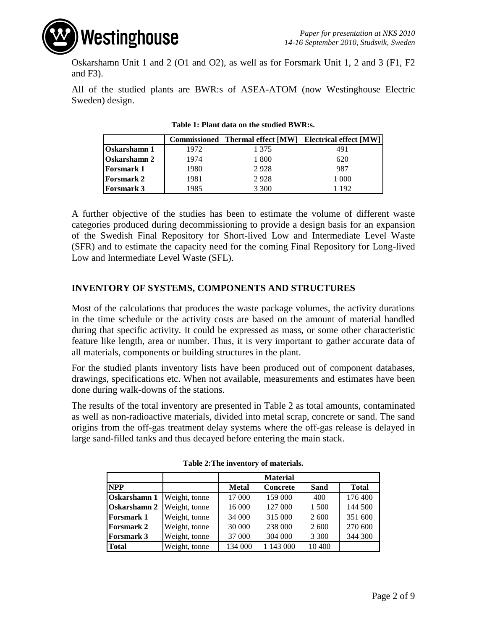

Oskarshamn Unit 1 and 2 (O1 and O2), as well as for Forsmark Unit 1, 2 and 3 (F1, F2 and F3).

All of the studied plants are BWR:s of ASEA-ATOM (now Westinghouse Electric Sweden) design.

|                     |      |       | Commissioned Thermal effect [MW] Electrical effect [MW] |
|---------------------|------|-------|---------------------------------------------------------|
| <b>Oskarshamn</b> 1 | 1972 | 1 375 | 491                                                     |
| <b>Oskarshamn 2</b> | 1974 | 1800  | 620                                                     |
| <b>Forsmark 1</b>   | 1980 | 2928  | 987                                                     |
| <b>Forsmark 2</b>   | 1981 | 2928  | 1 000                                                   |
| <b>Forsmark 3</b>   | 1985 | 3 300 | 1 192                                                   |

**Table 1: Plant data on the studied BWR:s.**

A further objective of the studies has been to estimate the volume of different waste categories produced during decommissioning to provide a design basis for an expansion of the Swedish Final Repository for Short-lived Low and Intermediate Level Waste (SFR) and to estimate the capacity need for the coming Final Repository for Long-lived Low and Intermediate Level Waste (SFL).

### **INVENTORY OF SYSTEMS, COMPONENTS AND STRUCTURES**

Most of the calculations that produces the waste package volumes, the activity durations in the time schedule or the activity costs are based on the amount of material handled during that specific activity. It could be expressed as mass, or some other characteristic feature like length, area or number. Thus, it is very important to gather accurate data of all materials, components or building structures in the plant.

For the studied plants inventory lists have been produced out of component databases, drawings, specifications etc. When not available, measurements and estimates have been done during walk-downs of the stations.

The results of the total inventory are presented in Table 2 as total amounts, contaminated as well as non-radioactive materials, divided into metal scrap, concrete or sand. The sand origins from the off-gas treatment delay systems where the off-gas release is delayed in large sand-filled tanks and thus decayed before entering the main stack.

|                                   |               |              | <b>Material</b> |             |              |
|-----------------------------------|---------------|--------------|-----------------|-------------|--------------|
| <b>NPP</b>                        |               | <b>Metal</b> | <b>Concrete</b> | <b>Sand</b> | <b>Total</b> |
| <b>Oskarshamn 1</b> Weight, tonne |               | 17 000       | 159 000         | 400         | 176 400      |
| <b>Oskarshamn 2</b> Weight, tonne |               | 16 000       | 127 000         | 1 500       | 144 500      |
| <b>Forsmark 1</b>                 | Weight, tonne | 34 000       | 315 000         | 2 600       | 351 600      |
| <b>Forsmark 2</b>                 | Weight, tonne | 30 000       | 238 000         | 2 600       | 270 600      |
| <b>Forsmark 3</b>                 | Weight, tonne | 37 000       | 304 000         | 3 3 0 0     | 344 300      |
| <b>Total</b>                      | Weight, tonne | 134 000      | 1 143 000       | 10 400      |              |

**Table 2:The inventory of materials.**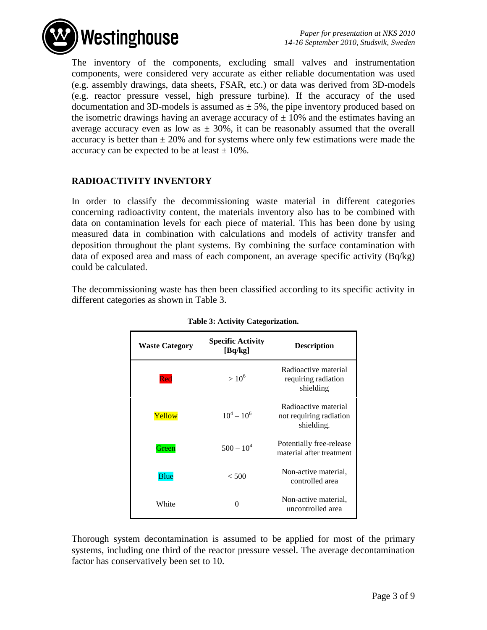

The inventory of the components, excluding small valves and instrumentation components, were considered very accurate as either reliable documentation was used (e.g. assembly drawings, data sheets, FSAR, etc.) or data was derived from 3D-models (e.g. reactor pressure vessel, high pressure turbine). If the accuracy of the used documentation and 3D-models is assumed as  $\pm$  5%, the pipe inventory produced based on the isometric drawings having an average accuracy of  $\pm$  10% and the estimates having an average accuracy even as low as  $\pm$  30%, it can be reasonably assumed that the overall accuracy is better than  $\pm 20\%$  and for systems where only few estimations were made the accuracy can be expected to be at least  $\pm$  10%.

### **RADIOACTIVITY INVENTORY**

In order to classify the decommissioning waste material in different categories concerning radioactivity content, the materials inventory also has to be combined with data on contamination levels for each piece of material. This has been done by using measured data in combination with calculations and models of activity transfer and deposition throughout the plant systems. By combining the surface contamination with data of exposed area and mass of each component, an average specific activity (Bq/kg) could be calculated.

The decommissioning waste has then been classified according to its specific activity in different categories as shown in Table 3.

| <b>Waste Category</b> | <b>Specific Activity</b><br>[Bq/kg] | <b>Description</b>                                            |
|-----------------------|-------------------------------------|---------------------------------------------------------------|
| Red                   | $>10^{6}$                           | Radioactive material<br>requiring radiation<br>shielding      |
| Yellow                | $10^4 - 10^6$                       | Radioactive material<br>not requiring radiation<br>shielding. |
| Green                 | $500 - 10^4$                        | Potentially free-release<br>material after treatment          |
| <b>Blue</b>           | $<$ 500                             | Non-active material.<br>controlled area                       |
| White                 | 0                                   | Non-active material,<br>uncontrolled area                     |

| Table 3: Activity Categorization. |  |  |  |  |
|-----------------------------------|--|--|--|--|
|-----------------------------------|--|--|--|--|

Thorough system decontamination is assumed to be applied for most of the primary systems, including one third of the reactor pressure vessel. The average decontamination factor has conservatively been set to 10.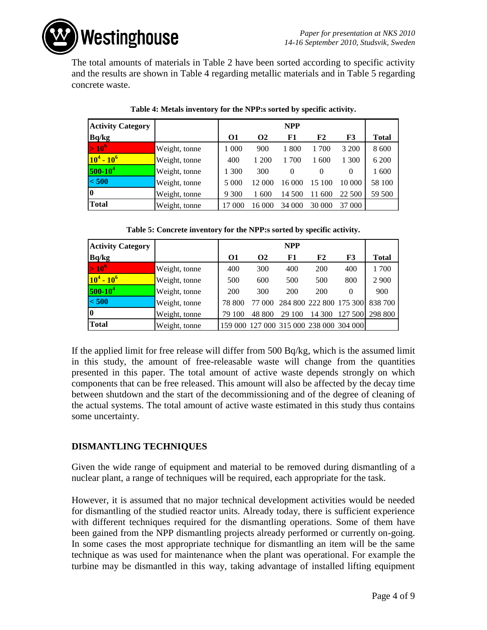**Westinghouse** 

The total amounts of materials in Table 2 have been sorted according to specific activity and the results are shown in Table 4 regarding metallic materials and in Table 5 regarding concrete waste.

| <b>Activity Category</b> | <b>NPP</b>    |          |          |          |           |          |              |
|--------------------------|---------------|----------|----------|----------|-----------|----------|--------------|
| Bq/kg                    |               | $\Omega$ | $\Omega$ | F1       | F2        | F3       | <b>Total</b> |
| $\sim 10^{\circ}$        | Weight, tonne | 1 000    | 900      | 1800     | 1 700     | 3 200    | 8 600        |
| $10^4 - 10^6$            | Weight, tonne | 400      | 1 200    | 700      | 1 600     | 1 300    | 6 200        |
| $ 500-10^{4} $           | Weight, tonne | 1 300    | 300      | $\Omega$ | 0         | $\theta$ | 1 600        |
| < 500                    | Weight, tonne | 5 0 0 0  | 12 000   | 16 000   | 15<br>-00 | 10 000   | 58 100       |
| $\bf{0}$                 | Weight, tonne | 9 3 0 0  | 1 600    | 14 500   | 600<br>11 | 22 500   | 59 500       |
| <b>Total</b>             | Weight, tonne | 17 000   | 16 000   | 34 000   | 30 000    | 37 000   |              |

|  | Table 4: Metals inventory for the NPP:s sorted by specific activity. |
|--|----------------------------------------------------------------------|
|  |                                                                      |

|  |  |  | Table 5: Concrete inventory for the NPP:s sorted by specific activity. |
|--|--|--|------------------------------------------------------------------------|
|  |  |  |                                                                        |

| <b>Activity Category</b> |               | <b>NPP</b> |          |                                         |                 |          |              |  |
|--------------------------|---------------|------------|----------|-----------------------------------------|-----------------|----------|--------------|--|
| Bq/kg                    |               | 01         | $\Omega$ | F1                                      | F2              | F3       | <b>Total</b> |  |
| $>10^6$                  | Weight, tonne | 400        | 300      | 400                                     | 200             | 400      | 1700         |  |
| $10^4 - 10^6$            | Weight, tonne | 500        | 600      | 500                                     | 500             | 800      | 2 9 0 0      |  |
| $500-10^4$               | Weight, tonne | 200        | 300      | 200                                     | 200             | $\theta$ | 900          |  |
| < 500                    | Weight, tonne | 78 800     | 77 000   |                                         | 284 800 222 800 | 175 300  | 838 700      |  |
| 10                       | Weight, tonne | 79 100     | 48 800   | 29 100                                  | 14 300          | 127 500  | 298 800      |  |
| Total                    | Weight, tonne |            |          | 159 000 127 000 315 000 238 000 304 000 |                 |          |              |  |

If the applied limit for free release will differ from 500 Bq/kg, which is the assumed limit in this study, the amount of free-releasable waste will change from the quantities presented in this paper. The total amount of active waste depends strongly on which components that can be free released. This amount will also be affected by the decay time between shutdown and the start of the decommissioning and of the degree of cleaning of the actual systems. The total amount of active waste estimated in this study thus contains some uncertainty.

### **DISMANTLING TECHNIQUES**

Given the wide range of equipment and material to be removed during dismantling of a nuclear plant, a range of techniques will be required, each appropriate for the task.

However, it is assumed that no major technical development activities would be needed for dismantling of the studied reactor units. Already today, there is sufficient experience with different techniques required for the dismantling operations. Some of them have been gained from the NPP dismantling projects already performed or currently on-going. In some cases the most appropriate technique for dismantling an item will be the same technique as was used for maintenance when the plant was operational. For example the turbine may be dismantled in this way, taking advantage of installed lifting equipment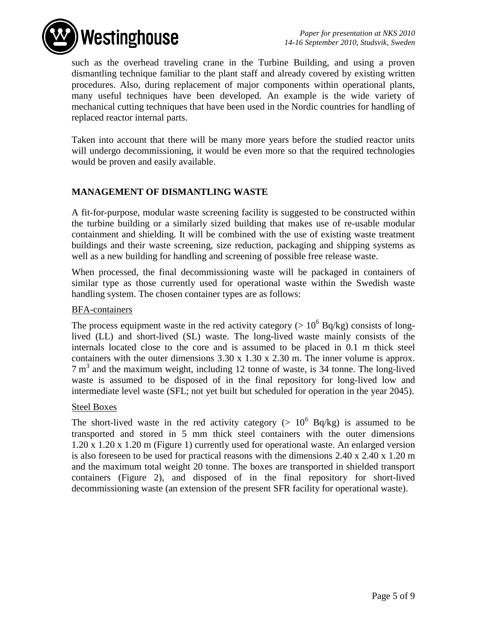

such as the overhead traveling crane in the Turbine Building, and using a proven dismantling technique familiar to the plant staff and already covered by existing written procedures. Also, during replacement of major components within operational plants, many useful techniques have been developed. An example is the wide variety of mechanical cutting techniques that have been used in the Nordic countries for handling of replaced reactor internal parts.

Taken into account that there will be many more years before the studied reactor units will undergo decommissioning, it would be even more so that the required technologies would be proven and easily available.

### **MANAGEMENT OF DISMANTLING WASTE**

A fit-for-purpose, modular waste screening facility is suggested to be constructed within the turbine building or a similarly sized building that makes use of re-usable modular containment and shielding. It will be combined with the use of existing waste treatment buildings and their waste screening, size reduction, packaging and shipping systems as well as a new building for handling and screening of possible free release waste.

When processed, the final decommissioning waste will be packaged in containers of similar type as those currently used for operational waste within the Swedish waste handling system. The chosen container types are as follows:

#### BFA-containers

The process equipment waste in the red activity category ( $> 10^6$  Bq/kg) consists of longlived (LL) and short-lived (SL) waste. The long-lived waste mainly consists of the internals located close to the core and is assumed to be placed in 0.1 m thick steel containers with the outer dimensions  $3.30 \times 1.30 \times 2.30$  m. The inner volume is approx. 7 m<sup>3</sup> and the maximum weight, including 12 tonne of waste, is 34 tonne. The long-lived waste is assumed to be disposed of in the final repository for long-lived low and intermediate level waste (SFL; not yet built but scheduled for operation in the year 2045).

#### Steel Boxes

The short-lived waste in the red activity category ( $> 10^6$  Bq/kg) is assumed to be transported and stored in 5 mm thick steel containers with the outer dimensions 1.20 x 1.20 x 1.20 m (Figure 1) currently used for operational waste. An enlarged version is also foreseen to be used for practical reasons with the dimensions 2.40 x 2.40 x 1.20 m and the maximum total weight 20 tonne. The boxes are transported in shielded transport containers (Figure 2), and disposed of in the final repository for short-lived decommissioning waste (an extension of the present SFR facility for operational waste).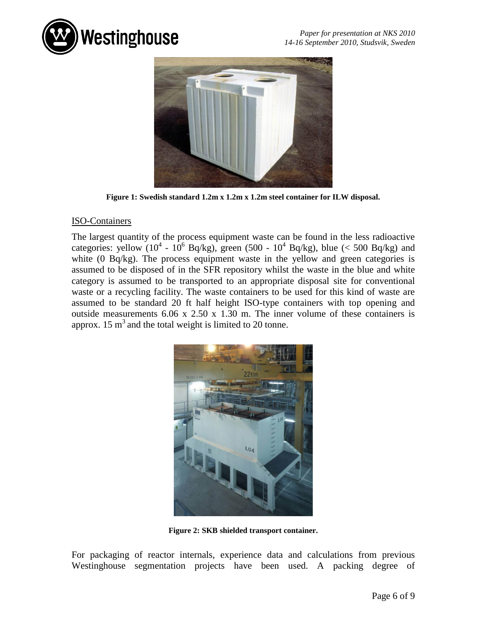



**Figure 1: Swedish standard 1.2m x 1.2m x 1.2m steel container for ILW disposal.**

#### ISO-Containers

The largest quantity of the process equipment waste can be found in the less radioactive categories: yellow  $(10^4 - 10^6 \text{ Bq/kg})$ , green  $(500 - 10^4 \text{ Bq/kg})$ , blue  $(< 500 \text{ Bq/kg})$  and white (0 Bq/kg). The process equipment waste in the yellow and green categories is assumed to be disposed of in the SFR repository whilst the waste in the blue and white category is assumed to be transported to an appropriate disposal site for conventional waste or a recycling facility. The waste containers to be used for this kind of waste are assumed to be standard 20 ft half height ISO-type containers with top opening and outside measurements 6.06 x 2.50 x 1.30 m. The inner volume of these containers is approx. 15  $m<sup>3</sup>$  and the total weight is limited to 20 tonne.



**Figure 2: SKB shielded transport container.**

For packaging of reactor internals, experience data and calculations from previous Westinghouse segmentation projects have been used. A packing degree of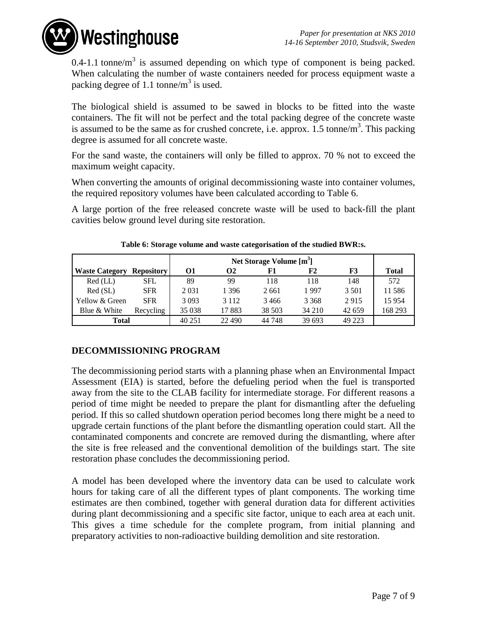**Westinghouse** 

0.4-1.1 tonne/m<sup>3</sup> is assumed depending on which type of component is being packed. When calculating the number of waste containers needed for process equipment waste a packing degree of 1.1 tonne/ $m<sup>3</sup>$  is used.

The biological shield is assumed to be sawed in blocks to be fitted into the waste containers. The fit will not be perfect and the total packing degree of the concrete waste is assumed to be the same as for crushed concrete, i.e. approx. 1.5 tonne/ $m<sup>3</sup>$ . This packing degree is assumed for all concrete waste.

For the sand waste, the containers will only be filled to approx. 70 % not to exceed the maximum weight capacity.

When converting the amounts of original decommissioning waste into container volumes, the required repository volumes have been calculated according to Table 6.

A large portion of the free released concrete waste will be used to back-fill the plant cavities below ground level during site restoration.

| <b>Waste Category</b> | <b>Repository</b> | 01      | Ω2      | F1     | F2      | F3      | <b>Total</b> |
|-----------------------|-------------------|---------|---------|--------|---------|---------|--------------|
| $Red$ (LL)            | <b>SFL</b>        | 89      | 99      | 118    | 118     | 148     | 572          |
| Red(SL)               | <b>SFR</b>        | 2031    | 1 396   | 2661   | 1997    | 3 5 0 1 | 11586        |
| Yellow & Green        | <b>SFR</b>        | 3093    | 3 1 1 2 | 3466   | 3 3 6 8 | 2915    | 15954        |
| Blue & White          | Recycling         | 35 0 38 | 17883   | 38 503 | 34 210  | 42 659  | 168 293      |
| Total                 |                   | 40 251  | 22 490  | 44 748 | 39 693  | 49 223  |              |

#### **Table 6: Storage volume and waste categorisation of the studied BWR:s.**

# **DECOMMISSIONING PROGRAM**

The decommissioning period starts with a planning phase when an Environmental Impact Assessment (EIA) is started, before the defueling period when the fuel is transported away from the site to the CLAB facility for intermediate storage. For different reasons a period of time might be needed to prepare the plant for dismantling after the defueling period. If this so called shutdown operation period becomes long there might be a need to upgrade certain functions of the plant before the dismantling operation could start. All the contaminated components and concrete are removed during the dismantling, where after the site is free released and the conventional demolition of the buildings start. The site restoration phase concludes the decommissioning period.

A model has been developed where the inventory data can be used to calculate work hours for taking care of all the different types of plant components. The working time estimates are then combined, together with general duration data for different activities during plant decommissioning and a specific site factor, unique to each area at each unit. This gives a time schedule for the complete program, from initial planning and preparatory activities to non-radioactive building demolition and site restoration.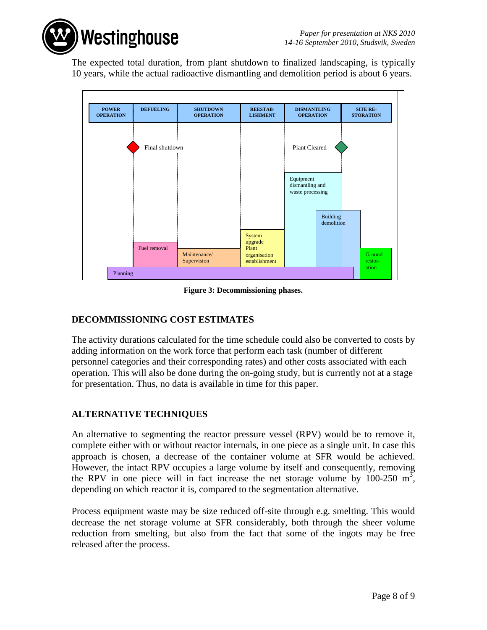**Westinghouse** 

The expected total duration, from plant shutdown to finalized landscaping, is typically 10 years, while the actual radioactive dismantling and demolition period is about 6 years.



**Figure 3: Decommissioning phases.**

# **DECOMMISSIONING COST ESTIMATES**

The activity durations calculated for the time schedule could also be converted to costs by adding information on the work force that perform each task (number of different personnel categories and their corresponding rates) and other costs associated with each operation. This will also be done during the on-going study, but is currently not at a stage for presentation. Thus, no data is available in time for this paper.

# **ALTERNATIVE TECHNIQUES**

An alternative to segmenting the reactor pressure vessel (RPV) would be to remove it, complete either with or without reactor internals, in one piece as a single unit. In case this approach is chosen, a decrease of the container volume at SFR would be achieved. However, the intact RPV occupies a large volume by itself and consequently, removing the RPV in one piece will in fact increase the net storage volume by 100-250  $m^3$ , depending on which reactor it is, compared to the segmentation alternative.

Process equipment waste may be size reduced off-site through e.g. smelting. This would decrease the net storage volume at SFR considerably, both through the sheer volume reduction from smelting, but also from the fact that some of the ingots may be free released after the process.